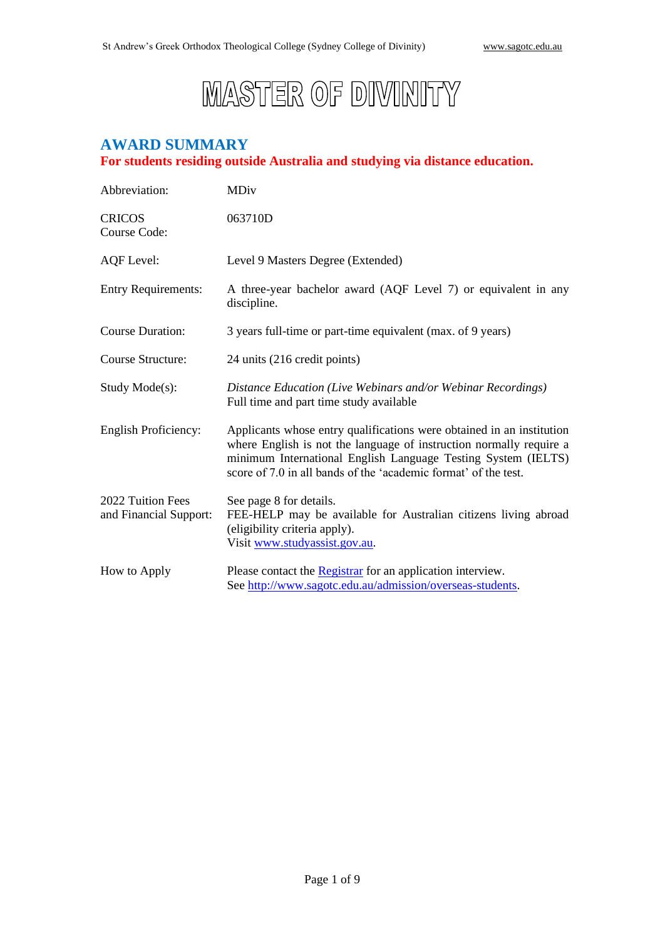# **MASTER OF DIVINITY**

#### **AWARD SUMMARY For students residing outside Australia and studying via distance education.**

| Abbreviation:                               | <b>MDiv</b>                                                                                                                                                                                                                                                                      |  |
|---------------------------------------------|----------------------------------------------------------------------------------------------------------------------------------------------------------------------------------------------------------------------------------------------------------------------------------|--|
| <b>CRICOS</b><br>Course Code:               | 063710D                                                                                                                                                                                                                                                                          |  |
| <b>AQF</b> Level:                           | Level 9 Masters Degree (Extended)                                                                                                                                                                                                                                                |  |
| <b>Entry Requirements:</b>                  | A three-year bachelor award (AQF Level 7) or equivalent in any<br>discipline.                                                                                                                                                                                                    |  |
| <b>Course Duration:</b>                     | 3 years full-time or part-time equivalent (max. of 9 years)                                                                                                                                                                                                                      |  |
| <b>Course Structure:</b>                    | 24 units (216 credit points)                                                                                                                                                                                                                                                     |  |
| Study Mode(s):                              | Distance Education (Live Webinars and/or Webinar Recordings)<br>Full time and part time study available                                                                                                                                                                          |  |
| <b>English Proficiency:</b>                 | Applicants whose entry qualifications were obtained in an institution<br>where English is not the language of instruction normally require a<br>minimum International English Language Testing System (IELTS)<br>score of 7.0 in all bands of the 'academic format' of the test. |  |
| 2022 Tuition Fees<br>and Financial Support: | See page 8 for details.<br>FEE-HELP may be available for Australian citizens living abroad<br>(eligibility criteria apply).<br>Visit www.studyassist.gov.au.                                                                                                                     |  |
| How to Apply                                | Please contact the <b>Registrar</b> for an application interview.<br>See http://www.sagotc.edu.au/admission/overseas-students.                                                                                                                                                   |  |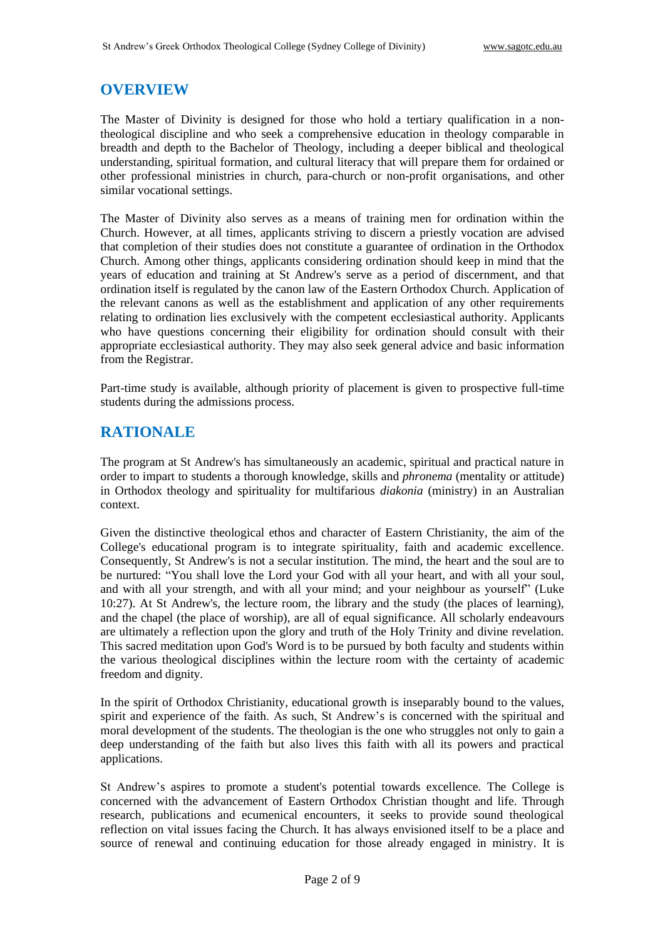#### **OVERVIEW**

The Master of Divinity is designed for those who hold a tertiary qualification in a nontheological discipline and who seek a comprehensive education in theology comparable in breadth and depth to the Bachelor of Theology, including a deeper biblical and theological understanding, spiritual formation, and cultural literacy that will prepare them for ordained or other professional ministries in church, para-church or non-profit organisations, and other similar vocational settings.

The Master of Divinity also serves as a means of training men for ordination within the Church. However, at all times, applicants striving to discern a priestly vocation are advised that completion of their studies does not constitute a guarantee of ordination in the Orthodox Church. Among other things, applicants considering ordination should keep in mind that the years of education and training at St Andrew's serve as a period of discernment, and that ordination itself is regulated by the canon law of the Eastern Orthodox Church. Application of the relevant canons as well as the establishment and application of any other requirements relating to ordination lies exclusively with the competent ecclesiastical authority. Applicants who have questions concerning their eligibility for ordination should consult with their appropriate ecclesiastical authority. They may also seek general advice and basic information from the Registrar.

Part-time study is available, although priority of placement is given to prospective full-time students during the admissions process.

#### **RATIONALE**

The program at St Andrew's has simultaneously an academic, spiritual and practical nature in order to impart to students a thorough knowledge, skills and *phronema* (mentality or attitude) in Orthodox theology and spirituality for multifarious *diakonia* (ministry) in an Australian context.

Given the distinctive theological ethos and character of Eastern Christianity, the aim of the College's educational program is to integrate spirituality, faith and academic excellence. Consequently, St Andrew's is not a secular institution. The mind, the heart and the soul are to be nurtured: "You shall love the Lord your God with all your heart, and with all your soul, and with all your strength, and with all your mind; and your neighbour as yourself" (Luke 10:27). At St Andrew's, the lecture room, the library and the study (the places of learning), and the chapel (the place of worship), are all of equal significance. All scholarly endeavours are ultimately a reflection upon the glory and truth of the Holy Trinity and divine revelation. This sacred meditation upon God's Word is to be pursued by both faculty and students within the various theological disciplines within the lecture room with the certainty of academic freedom and dignity.

In the spirit of Orthodox Christianity, educational growth is inseparably bound to the values, spirit and experience of the faith. As such, St Andrew's is concerned with the spiritual and moral development of the students. The theologian is the one who struggles not only to gain a deep understanding of the faith but also lives this faith with all its powers and practical applications.

St Andrew's aspires to promote a student's potential towards excellence. The College is concerned with the advancement of Eastern Orthodox Christian thought and life. Through research, publications and ecumenical encounters, it seeks to provide sound theological reflection on vital issues facing the Church. It has always envisioned itself to be a place and source of renewal and continuing education for those already engaged in ministry. It is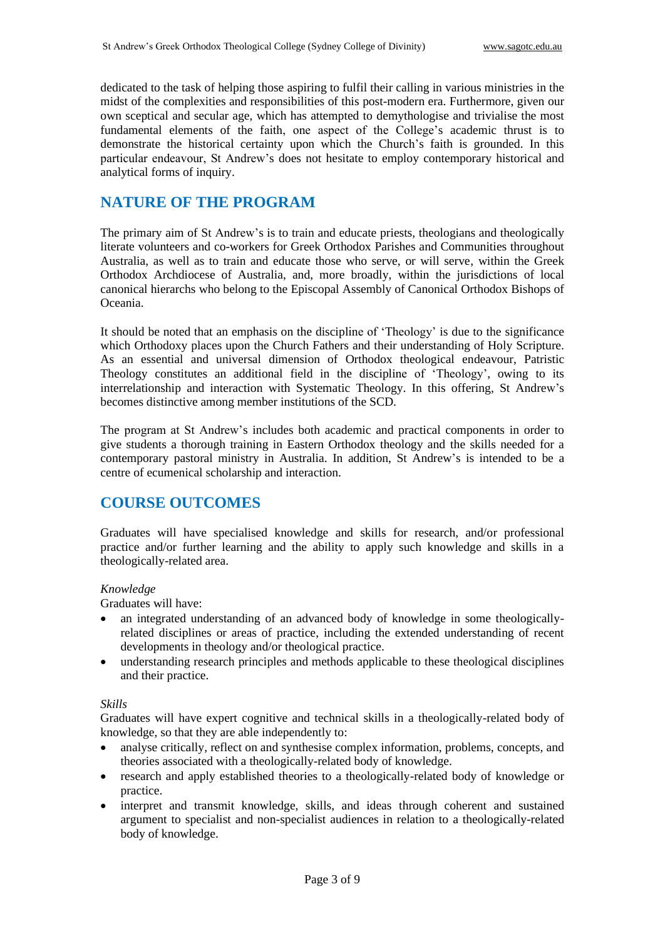dedicated to the task of helping those aspiring to fulfil their calling in various ministries in the midst of the complexities and responsibilities of this post-modern era. Furthermore, given our own sceptical and secular age, which has attempted to demythologise and trivialise the most fundamental elements of the faith, one aspect of the College's academic thrust is to demonstrate the historical certainty upon which the Church's faith is grounded. In this particular endeavour, St Andrew's does not hesitate to employ contemporary historical and analytical forms of inquiry.

## **NATURE OF THE PROGRAM**

The primary aim of St Andrew's is to train and educate priests, theologians and theologically literate volunteers and co-workers for Greek Orthodox Parishes and Communities throughout Australia, as well as to train and educate those who serve, or will serve, within the Greek Orthodox Archdiocese of Australia, and, more broadly, within the jurisdictions of local canonical hierarchs who belong to the Episcopal Assembly of Canonical Orthodox Bishops of Oceania.

It should be noted that an emphasis on the discipline of 'Theology' is due to the significance which Orthodoxy places upon the Church Fathers and their understanding of Holy Scripture. As an essential and universal dimension of Orthodox theological endeavour, Patristic Theology constitutes an additional field in the discipline of 'Theology', owing to its interrelationship and interaction with Systematic Theology. In this offering, St Andrew's becomes distinctive among member institutions of the SCD.

The program at St Andrew's includes both academic and practical components in order to give students a thorough training in Eastern Orthodox theology and the skills needed for a contemporary pastoral ministry in Australia. In addition, St Andrew's is intended to be a centre of ecumenical scholarship and interaction.

# **COURSE OUTCOMES**

Graduates will have specialised knowledge and skills for research, and/or professional practice and/or further learning and the ability to apply such knowledge and skills in a theologically-related area.

#### *Knowledge*

Graduates will have:

- an integrated understanding of an advanced body of knowledge in some theologicallyrelated disciplines or areas of practice, including the extended understanding of recent developments in theology and/or theological practice.
- understanding research principles and methods applicable to these theological disciplines and their practice.

#### *Skills*

Graduates will have expert cognitive and technical skills in a theologically-related body of knowledge, so that they are able independently to:

- analyse critically, reflect on and synthesise complex information, problems, concepts, and theories associated with a theologically-related body of knowledge.
- research and apply established theories to a theologically-related body of knowledge or practice.
- interpret and transmit knowledge, skills, and ideas through coherent and sustained argument to specialist and non-specialist audiences in relation to a theologically-related body of knowledge.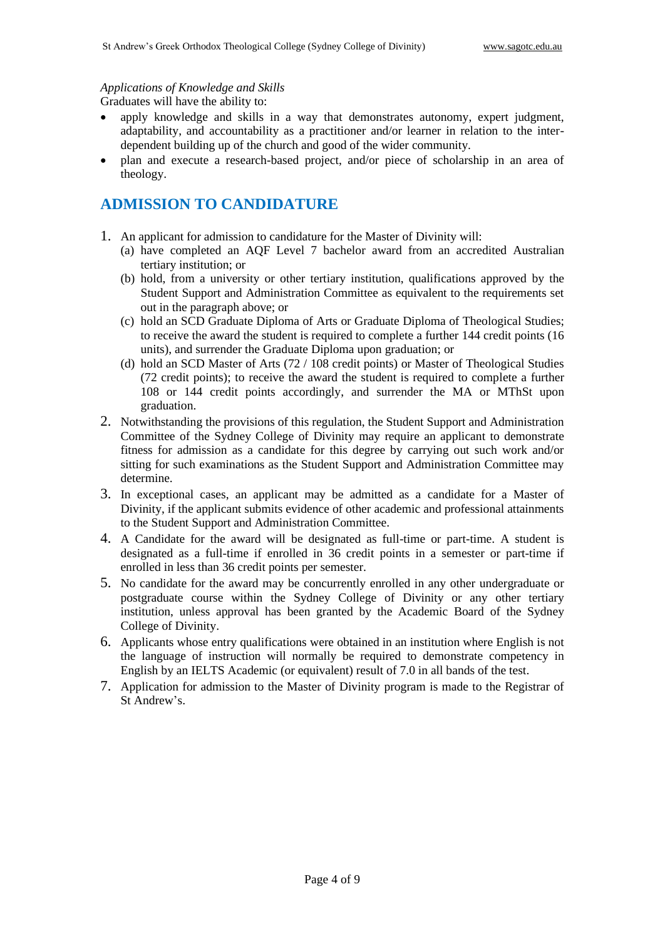#### *Applications of Knowledge and Skills*

Graduates will have the ability to:

- apply knowledge and skills in a way that demonstrates autonomy, expert judgment, adaptability, and accountability as a practitioner and/or learner in relation to the interdependent building up of the church and good of the wider community.
- plan and execute a research-based project, and/or piece of scholarship in an area of theology.

#### **ADMISSION TO CANDIDATURE**

- 1. An applicant for admission to candidature for the Master of Divinity will:
	- (a) have completed an AQF Level 7 bachelor award from an accredited Australian tertiary institution; or
	- (b) hold, from a university or other tertiary institution, qualifications approved by the Student Support and Administration Committee as equivalent to the requirements set out in the paragraph above; or
	- (c) hold an SCD Graduate Diploma of Arts or Graduate Diploma of Theological Studies; to receive the award the student is required to complete a further 144 credit points (16 units), and surrender the Graduate Diploma upon graduation; or
	- (d) hold an SCD Master of Arts (72 / 108 credit points) or Master of Theological Studies (72 credit points); to receive the award the student is required to complete a further 108 or 144 credit points accordingly, and surrender the MA or MThSt upon graduation.
- 2. Notwithstanding the provisions of this regulation, the Student Support and Administration Committee of the Sydney College of Divinity may require an applicant to demonstrate fitness for admission as a candidate for this degree by carrying out such work and/or sitting for such examinations as the Student Support and Administration Committee may determine.
- 3. In exceptional cases, an applicant may be admitted as a candidate for a Master of Divinity, if the applicant submits evidence of other academic and professional attainments to the Student Support and Administration Committee.
- 4. A Candidate for the award will be designated as full-time or part-time. A student is designated as a full-time if enrolled in 36 credit points in a semester or part-time if enrolled in less than 36 credit points per semester.
- 5. No candidate for the award may be concurrently enrolled in any other undergraduate or postgraduate course within the Sydney College of Divinity or any other tertiary institution, unless approval has been granted by the Academic Board of the Sydney College of Divinity.
- 6. Applicants whose entry qualifications were obtained in an institution where English is not the language of instruction will normally be required to demonstrate competency in English by an IELTS Academic (or equivalent) result of 7.0 in all bands of the test.
- 7. Application for admission to the Master of Divinity program is made to the Registrar of St Andrew's.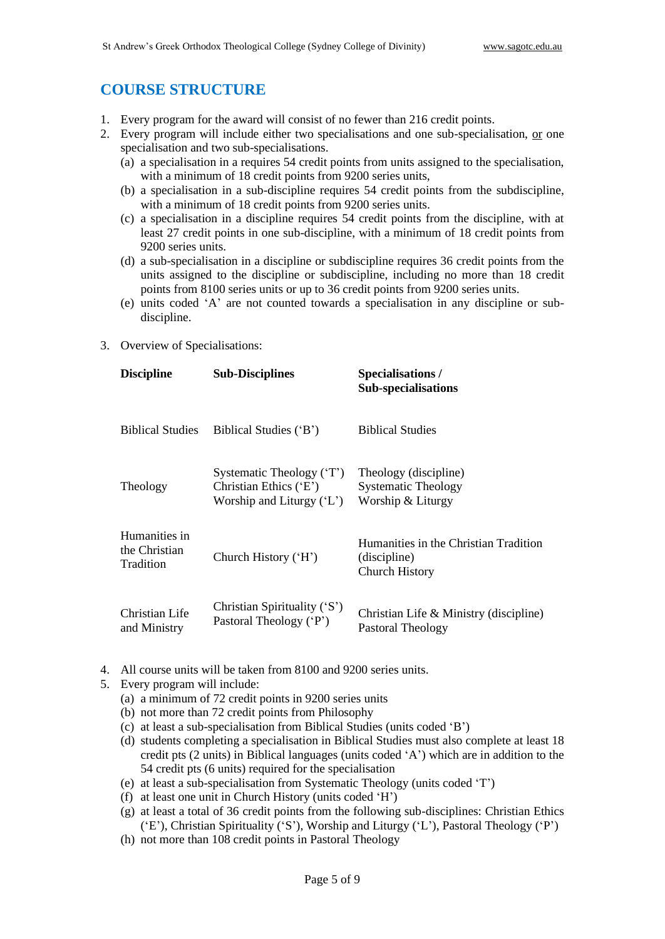## **COURSE STRUCTURE**

- 1. Every program for the award will consist of no fewer than 216 credit points.
- 2. Every program will include either two specialisations and one sub-specialisation, or one specialisation and two sub-specialisations.
	- (a) a specialisation in a requires 54 credit points from units assigned to the specialisation, with a minimum of 18 credit points from 9200 series units,
	- (b) a specialisation in a sub-discipline requires 54 credit points from the subdiscipline, with a minimum of 18 credit points from 9200 series units.
	- (c) a specialisation in a discipline requires 54 credit points from the discipline, with at least 27 credit points in one sub-discipline, with a minimum of 18 credit points from 9200 series units.
	- (d) a sub-specialisation in a discipline or subdiscipline requires 36 credit points from the units assigned to the discipline or subdiscipline, including no more than 18 credit points from 8100 series units or up to 36 credit points from 9200 series units.
	- (e) units coded 'A' are not counted towards a specialisation in any discipline or subdiscipline.
- 3. Overview of Specialisations:

| <b>Discipline</b>                           | <b>Sub-Disciplines</b>                                                            | <b>Specialisations/</b><br><b>Sub-specialisations</b>                          |
|---------------------------------------------|-----------------------------------------------------------------------------------|--------------------------------------------------------------------------------|
| <b>Biblical Studies</b>                     | Biblical Studies ('B')                                                            | <b>Biblical Studies</b>                                                        |
| Theology                                    | Systematic Theology ('T')<br>Christian Ethics ('E')<br>Worship and Liturgy $(L')$ | Theology (discipline)<br><b>Systematic Theology</b><br>Worship & Liturgy       |
| Humanities in<br>the Christian<br>Tradition | Church History ('H')                                                              | Humanities in the Christian Tradition<br>(discipline)<br><b>Church History</b> |
| Christian Life<br>and Ministry              | Christian Spirituality ('S')<br>Pastoral Theology ('P')                           | Christian Life & Ministry (discipline)<br>Pastoral Theology                    |

- 4. All course units will be taken from 8100 and 9200 series units.
- 5. Every program will include:
	- (a) a minimum of 72 credit points in 9200 series units
	- (b) not more than 72 credit points from Philosophy
	- (c) at least a sub-specialisation from Biblical Studies (units coded 'B')
	- (d) students completing a specialisation in Biblical Studies must also complete at least 18 credit pts (2 units) in Biblical languages (units coded 'A') which are in addition to the 54 credit pts (6 units) required for the specialisation
	- (e) at least a sub-specialisation from Systematic Theology (units coded 'T')
	- (f) at least one unit in Church History (units coded 'H')
	- (g) at least a total of 36 credit points from the following sub-disciplines: Christian Ethics ('E'), Christian Spirituality ('S'), Worship and Liturgy ('L'), Pastoral Theology ('P')
	- (h) not more than 108 credit points in Pastoral Theology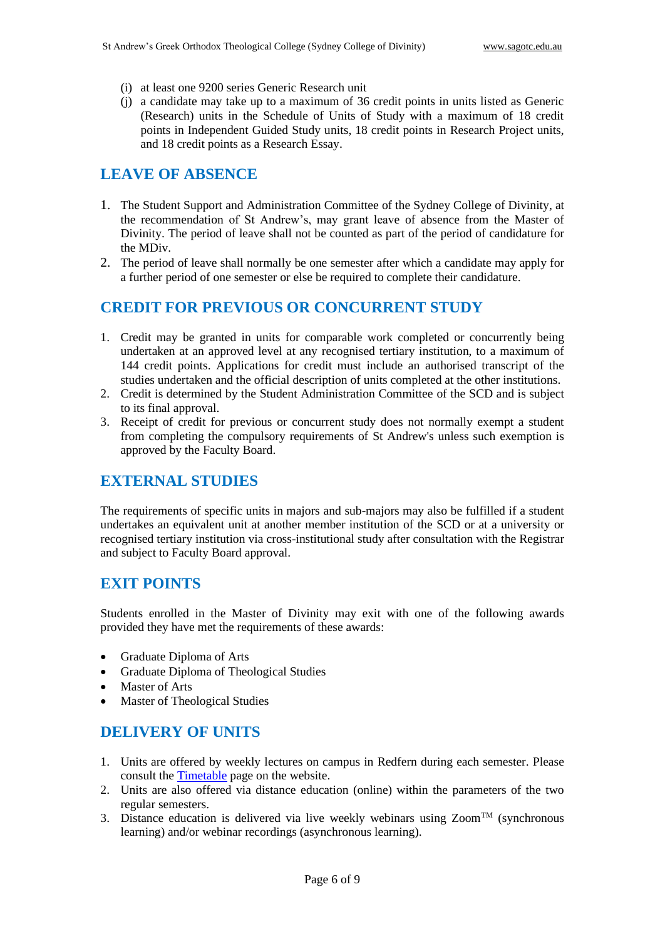- (i) at least one 9200 series Generic Research unit
- (j) a candidate may take up to a maximum of 36 credit points in units listed as Generic (Research) units in the Schedule of Units of Study with a maximum of 18 credit points in Independent Guided Study units, 18 credit points in Research Project units, and 18 credit points as a Research Essay.

## **LEAVE OF ABSENCE**

- 1. The Student Support and Administration Committee of the Sydney College of Divinity, at the recommendation of St Andrew's, may grant leave of absence from the Master of Divinity. The period of leave shall not be counted as part of the period of candidature for the MDiv.
- 2. The period of leave shall normally be one semester after which a candidate may apply for a further period of one semester or else be required to complete their candidature.

#### **CREDIT FOR PREVIOUS OR CONCURRENT STUDY**

- 1. Credit may be granted in units for comparable work completed or concurrently being undertaken at an approved level at any recognised tertiary institution, to a maximum of 144 credit points. Applications for credit must include an authorised transcript of the studies undertaken and the official description of units completed at the other institutions.
- 2. Credit is determined by the Student Administration Committee of the SCD and is subject to its final approval.
- 3. Receipt of credit for previous or concurrent study does not normally exempt a student from completing the compulsory requirements of St Andrew's unless such exemption is approved by the Faculty Board.

#### **EXTERNAL STUDIES**

The requirements of specific units in majors and sub-majors may also be fulfilled if a student undertakes an equivalent unit at another member institution of the SCD or at a university or recognised tertiary institution via cross-institutional study after consultation with the Registrar and subject to Faculty Board approval.

#### **EXIT POINTS**

Students enrolled in the Master of Divinity may exit with one of the following awards provided they have met the requirements of these awards:

- Graduate Diploma of Arts
- Graduate Diploma of Theological Studies
- Master of Arts
- Master of Theological Studies

#### **DELIVERY OF UNITS**

- 1. Units are offered by weekly lectures on campus in Redfern during each semester. Please consult the [Timetable](http://www.sagotc.edu.au/studies/timetables) page on the website.
- 2. Units are also offered via distance education (online) within the parameters of the two regular semesters.
- 3. Distance education is delivered via live weekly webinars using  $Zoom^{TM}$  (synchronous learning) and/or webinar recordings (asynchronous learning).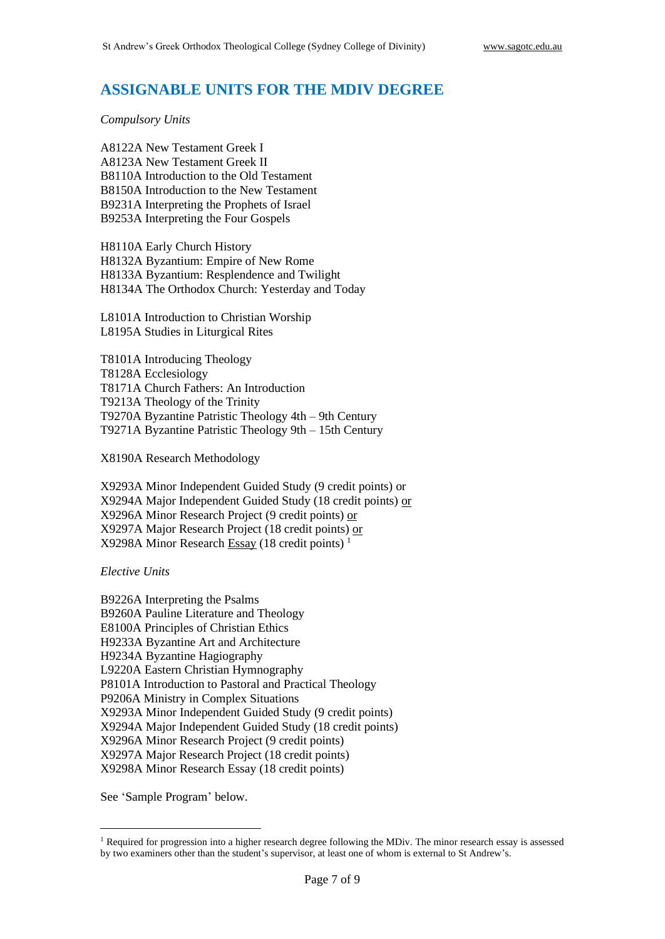#### **ASSIGNABLE UNITS FOR THE MDIV DEGREE**

*Compulsory Units*

A8122A New Testament Greek I A8123A New Testament Greek II B8110A Introduction to the Old Testament B8150A Introduction to the New Testament B9231A Interpreting the Prophets of Israel B9253A Interpreting the Four Gospels

H8110A Early Church History H8132A Byzantium: Empire of New Rome H8133A Byzantium: Resplendence and Twilight H8134A The Orthodox Church: Yesterday and Today

L8101A Introduction to Christian Worship L8195A Studies in Liturgical Rites

T8101A Introducing Theology T8128A Ecclesiology T8171A Church Fathers: An Introduction T9213A Theology of the Trinity T9270A Byzantine Patristic Theology 4th – 9th Century T9271A Byzantine Patristic Theology 9th – 15th Century

X8190A Research Methodology

X9293A Minor Independent Guided Study (9 credit points) or X9294A Major Independent Guided Study (18 credit points) or X9296A Minor Research Project (9 credit points) or X9297A Major Research Project (18 credit points) or X9298A Minor Research Essay (18 credit points)<sup> $1$ </sup>

*Elective Units*

B9226A Interpreting the Psalms B9260A Pauline Literature and Theology E8100A Principles of Christian Ethics H9233A Byzantine Art and Architecture H9234A Byzantine Hagiography L9220A Eastern Christian Hymnography P8101A Introduction to Pastoral and Practical Theology P9206A Ministry in Complex Situations X9293A Minor Independent Guided Study (9 credit points) X9294A Major Independent Guided Study (18 credit points) X9296A Minor Research Project (9 credit points) X9297A Major Research Project (18 credit points) X9298A Minor Research Essay (18 credit points)

See 'Sample Program' below.

<sup>&</sup>lt;sup>1</sup> Required for progression into a higher research degree following the MDiv. The minor research essay is assessed by two examiners other than the student's supervisor, at least one of whom is external to St Andrew's.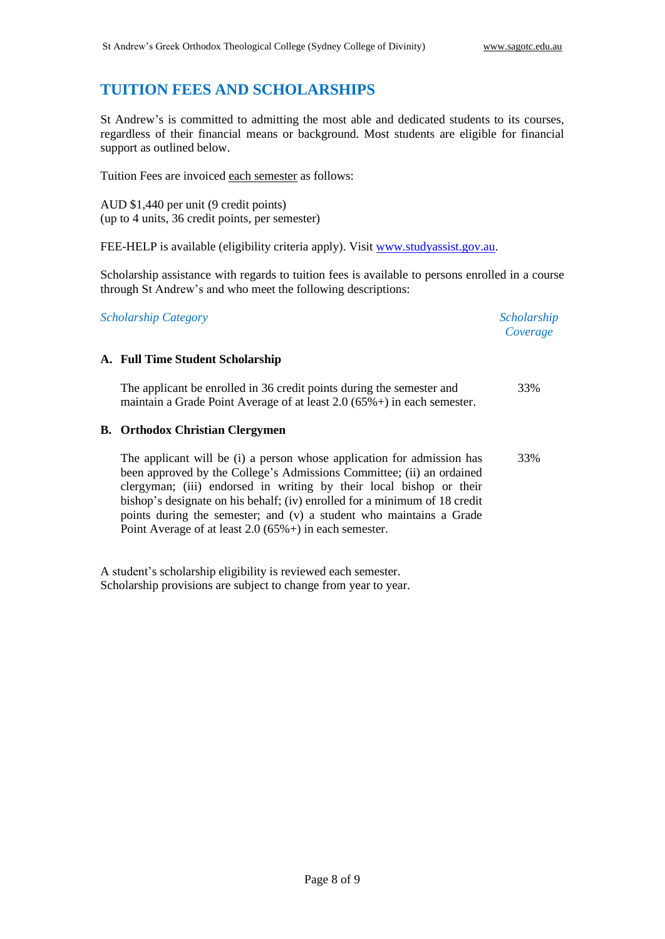# **TUITION FEES AND SCHOLARSHIPS**

St Andrew's is committed to admitting the most able and dedicated students to its courses, regardless of their financial means or background. Most students are eligible for financial support as outlined below.

Tuition Fees are invoiced each semester as follows:

AUD \$1,440 per unit (9 credit points) (up to 4 units, 36 credit points, per semester)

FEE-HELP is available (eligibility criteria apply). Visit [www.studyassist.gov.au.](http://www.studyassist.gov.au/)

Scholarship assistance with regards to tuition fees is available to persons enrolled in a course through St Andrew's and who meet the following descriptions:

*Scholarship Category Scholarship* 

*Coverage*

#### **A. Full Time Student Scholarship**

The applicant be enrolled in 36 credit points during the semester and maintain a Grade Point Average of at least 2.0 (65%+) in each semester. 33%

#### **B. Orthodox Christian Clergymen**

The applicant will be (i) a person whose application for admission has been approved by the College's Admissions Committee; (ii) an ordained clergyman; (iii) endorsed in writing by their local bishop or their bishop's designate on his behalf; (iv) enrolled for a minimum of 18 credit points during the semester; and (v) a student who maintains a Grade Point Average of at least 2.0 (65%+) in each semester. 33%

A student's scholarship eligibility is reviewed each semester. Scholarship provisions are subject to change from year to year.